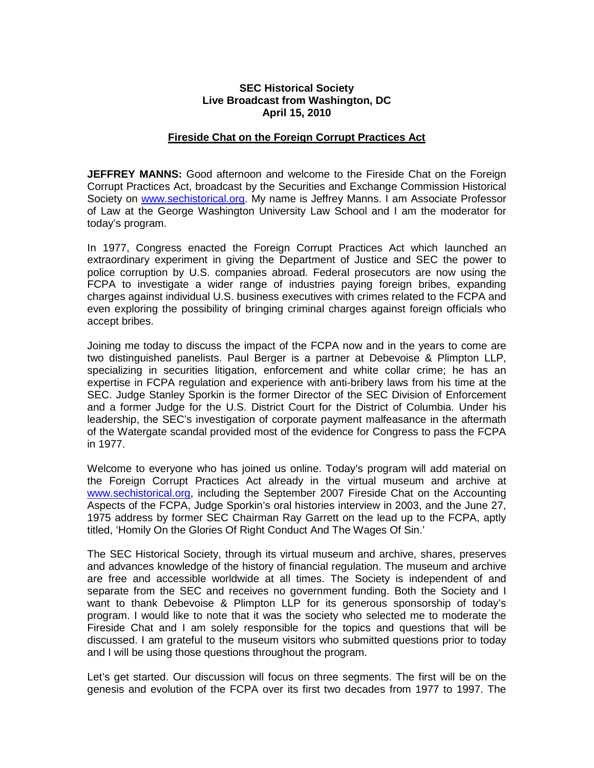## **SEC Historical Society Live Broadcast from Washington, DC April 15, 2010**

#### **Fireside Chat on the Foreign Corrupt Practices Act**

**JEFFREY MANNS:** Good afternoon and welcome to the Fireside Chat on the Foreign Corrupt Practices Act, broadcast by the Securities and Exchange Commission Historical Society on [www.sechistorical.org.](http://www.sechistorical.org/) My name is Jeffrey Manns. I am Associate Professor of Law at the George Washington University Law School and I am the moderator for today's program.

In 1977, Congress enacted the Foreign Corrupt Practices Act which launched an extraordinary experiment in giving the Department of Justice and SEC the power to police corruption by U.S. companies abroad. Federal prosecutors are now using the FCPA to investigate a wider range of industries paying foreign bribes, expanding charges against individual U.S. business executives with crimes related to the FCPA and even exploring the possibility of bringing criminal charges against foreign officials who accept bribes.

Joining me today to discuss the impact of the FCPA now and in the years to come are two distinguished panelists. Paul Berger is a partner at Debevoise & Plimpton LLP, specializing in securities litigation, enforcement and white collar crime; he has an expertise in FCPA regulation and experience with anti-bribery laws from his time at the SEC. Judge Stanley Sporkin is the former Director of the SEC Division of Enforcement and a former Judge for the U.S. District Court for the District of Columbia. Under his leadership, the SEC's investigation of corporate payment malfeasance in the aftermath of the Watergate scandal provided most of the evidence for Congress to pass the FCPA in 1977.

Welcome to everyone who has joined us online. Today's program will add material on the Foreign Corrupt Practices Act already in the virtual museum and archive at [www.sechistorical.org,](http://www.sechistorical.org/) including the September 2007 Fireside Chat on the Accounting Aspects of the FCPA, Judge Sporkin's oral histories interview in 2003, and the June 27, 1975 address by former SEC Chairman Ray Garrett on the lead up to the FCPA, aptly titled, 'Homily On the Glories Of Right Conduct And The Wages Of Sin.'

The SEC Historical Society, through its virtual museum and archive, shares, preserves and advances knowledge of the history of financial regulation. The museum and archive are free and accessible worldwide at all times. The Society is independent of and separate from the SEC and receives no government funding. Both the Society and I want to thank Debevoise & Plimpton LLP for its generous sponsorship of today's program. I would like to note that it was the society who selected me to moderate the Fireside Chat and I am solely responsible for the topics and questions that will be discussed. I am grateful to the museum visitors who submitted questions prior to today and I will be using those questions throughout the program.

Let's get started. Our discussion will focus on three segments. The first will be on the genesis and evolution of the FCPA over its first two decades from 1977 to 1997. The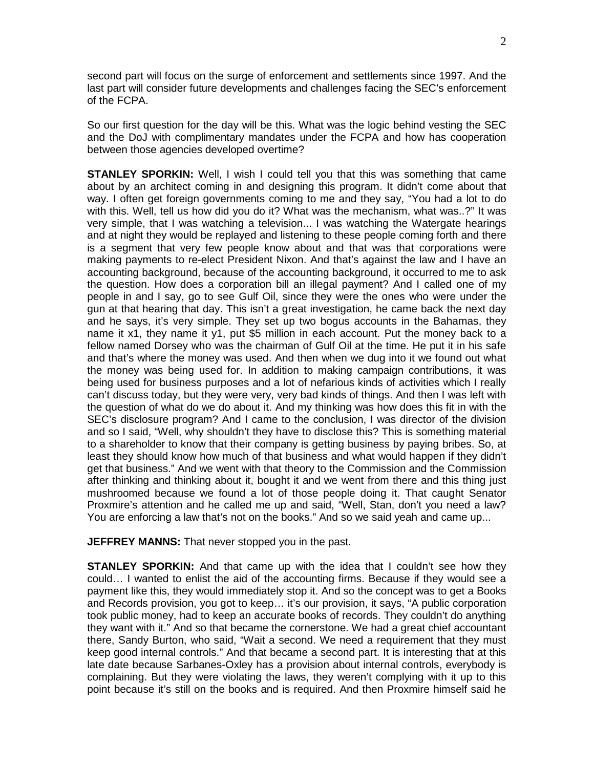second part will focus on the surge of enforcement and settlements since 1997. And the last part will consider future developments and challenges facing the SEC's enforcement of the FCPA.

So our first question for the day will be this. What was the logic behind vesting the SEC and the DoJ with complimentary mandates under the FCPA and how has cooperation between those agencies developed overtime?

**STANLEY SPORKIN:** Well, I wish I could tell you that this was something that came about by an architect coming in and designing this program. It didn't come about that way. I often get foreign governments coming to me and they say, "You had a lot to do with this. Well, tell us how did you do it? What was the mechanism, what was..?" It was very simple, that I was watching a television... I was watching the Watergate hearings and at night they would be replayed and listening to these people coming forth and there is a segment that very few people know about and that was that corporations were making payments to re-elect President Nixon. And that's against the law and I have an accounting background, because of the accounting background, it occurred to me to ask the question. How does a corporation bill an illegal payment? And I called one of my people in and I say, go to see Gulf Oil, since they were the ones who were under the gun at that hearing that day. This isn't a great investigation, he came back the next day and he says, it's very simple. They set up two bogus accounts in the Bahamas, they name it x1, they name it y1, put \$5 million in each account. Put the money back to a fellow named Dorsey who was the chairman of Gulf Oil at the time. He put it in his safe and that's where the money was used. And then when we dug into it we found out what the money was being used for. In addition to making campaign contributions, it was being used for business purposes and a lot of nefarious kinds of activities which I really can't discuss today, but they were very, very bad kinds of things. And then I was left with the question of what do we do about it. And my thinking was how does this fit in with the SEC's disclosure program? And I came to the conclusion, I was director of the division and so I said, "Well, why shouldn't they have to disclose this? This is something material to a shareholder to know that their company is getting business by paying bribes. So, at least they should know how much of that business and what would happen if they didn't get that business." And we went with that theory to the Commission and the Commission after thinking and thinking about it, bought it and we went from there and this thing just mushroomed because we found a lot of those people doing it. That caught Senator Proxmire's attention and he called me up and said, "Well, Stan, don't you need a law? You are enforcing a law that's not on the books." And so we said yeah and came up...

**JEFFREY MANNS:** That never stopped you in the past.

**STANLEY SPORKIN:** And that came up with the idea that I couldn't see how they could… I wanted to enlist the aid of the accounting firms. Because if they would see a payment like this, they would immediately stop it. And so the concept was to get a Books and Records provision, you got to keep… it's our provision, it says, "A public corporation took public money, had to keep an accurate books of records. They couldn't do anything they want with it." And so that became the cornerstone. We had a great chief accountant there, Sandy Burton, who said, "Wait a second. We need a requirement that they must keep good internal controls." And that became a second part. It is interesting that at this late date because Sarbanes-Oxley has a provision about internal controls, everybody is complaining. But they were violating the laws, they weren't complying with it up to this point because it's still on the books and is required. And then Proxmire himself said he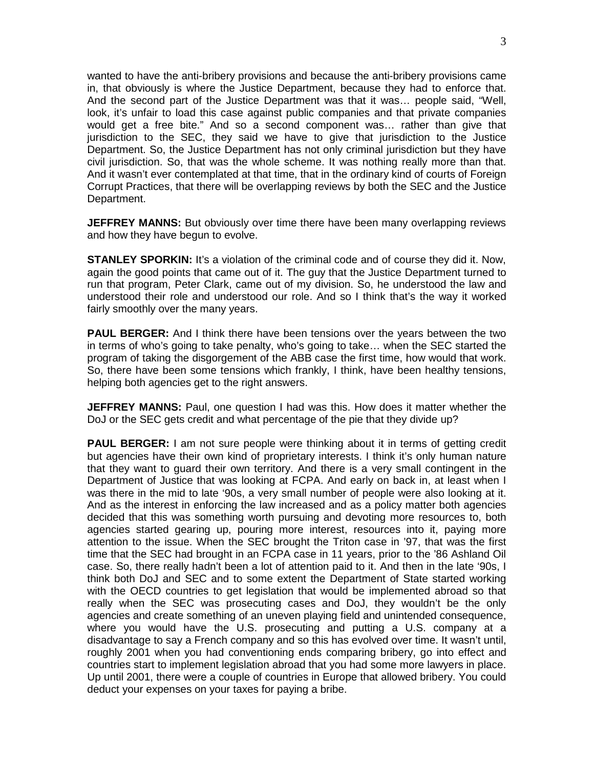wanted to have the anti-bribery provisions and because the anti-bribery provisions came in, that obviously is where the Justice Department, because they had to enforce that. And the second part of the Justice Department was that it was… people said, "Well, look, it's unfair to load this case against public companies and that private companies would get a free bite." And so a second component was… rather than give that jurisdiction to the SEC, they said we have to give that jurisdiction to the Justice Department. So, the Justice Department has not only criminal jurisdiction but they have civil jurisdiction. So, that was the whole scheme. It was nothing really more than that. And it wasn't ever contemplated at that time, that in the ordinary kind of courts of Foreign Corrupt Practices, that there will be overlapping reviews by both the SEC and the Justice Department.

**JEFFREY MANNS:** But obviously over time there have been many overlapping reviews and how they have begun to evolve.

**STANLEY SPORKIN:** It's a violation of the criminal code and of course they did it. Now, again the good points that came out of it. The guy that the Justice Department turned to run that program, Peter Clark, came out of my division. So, he understood the law and understood their role and understood our role. And so I think that's the way it worked fairly smoothly over the many years.

**PAUL BERGER:** And I think there have been tensions over the years between the two in terms of who's going to take penalty, who's going to take… when the SEC started the program of taking the disgorgement of the ABB case the first time, how would that work. So, there have been some tensions which frankly, I think, have been healthy tensions, helping both agencies get to the right answers.

**JEFFREY MANNS:** Paul, one question I had was this. How does it matter whether the DoJ or the SEC gets credit and what percentage of the pie that they divide up?

**PAUL BERGER:** I am not sure people were thinking about it in terms of getting credit but agencies have their own kind of proprietary interests. I think it's only human nature that they want to guard their own territory. And there is a very small contingent in the Department of Justice that was looking at FCPA. And early on back in, at least when I was there in the mid to late '90s, a very small number of people were also looking at it. And as the interest in enforcing the law increased and as a policy matter both agencies decided that this was something worth pursuing and devoting more resources to, both agencies started gearing up, pouring more interest, resources into it, paying more attention to the issue. When the SEC brought the Triton case in '97, that was the first time that the SEC had brought in an FCPA case in 11 years, prior to the '86 Ashland Oil case. So, there really hadn't been a lot of attention paid to it. And then in the late '90s, I think both DoJ and SEC and to some extent the Department of State started working with the OECD countries to get legislation that would be implemented abroad so that really when the SEC was prosecuting cases and DoJ, they wouldn't be the only agencies and create something of an uneven playing field and unintended consequence, where you would have the U.S. prosecuting and putting a U.S. company at a disadvantage to say a French company and so this has evolved over time. It wasn't until, roughly 2001 when you had conventioning ends comparing bribery, go into effect and countries start to implement legislation abroad that you had some more lawyers in place. Up until 2001, there were a couple of countries in Europe that allowed bribery. You could deduct your expenses on your taxes for paying a bribe.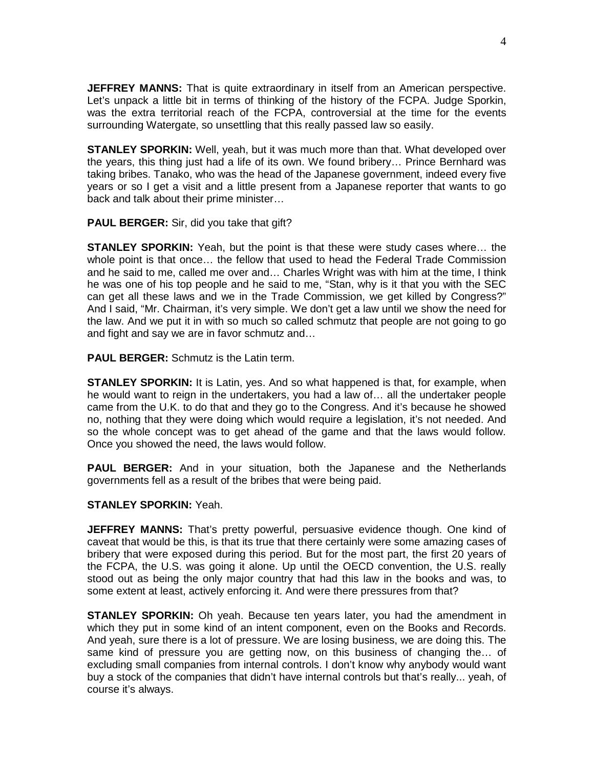**JEFFREY MANNS:** That is quite extraordinary in itself from an American perspective. Let's unpack a little bit in terms of thinking of the history of the FCPA. Judge Sporkin, was the extra territorial reach of the FCPA, controversial at the time for the events surrounding Watergate, so unsettling that this really passed law so easily.

**STANLEY SPORKIN:** Well, yeah, but it was much more than that. What developed over the years, this thing just had a life of its own. We found bribery… Prince Bernhard was taking bribes. Tanako, who was the head of the Japanese government, indeed every five years or so I get a visit and a little present from a Japanese reporter that wants to go back and talk about their prime minister…

**PAUL BERGER:** Sir, did you take that gift?

**STANLEY SPORKIN:** Yeah, but the point is that these were study cases where… the whole point is that once… the fellow that used to head the Federal Trade Commission and he said to me, called me over and… Charles Wright was with him at the time, I think he was one of his top people and he said to me, "Stan, why is it that you with the SEC can get all these laws and we in the Trade Commission, we get killed by Congress?" And I said, "Mr. Chairman, it's very simple. We don't get a law until we show the need for the law. And we put it in with so much so called schmutz that people are not going to go and fight and say we are in favor schmutz and…

**PAUL BERGER:** Schmutz is the Latin term.

**STANLEY SPORKIN:** It is Latin, yes. And so what happened is that, for example, when he would want to reign in the undertakers, you had a law of… all the undertaker people came from the U.K. to do that and they go to the Congress. And it's because he showed no, nothing that they were doing which would require a legislation, it's not needed. And so the whole concept was to get ahead of the game and that the laws would follow. Once you showed the need, the laws would follow.

**PAUL BERGER:** And in your situation, both the Japanese and the Netherlands governments fell as a result of the bribes that were being paid.

# **STANLEY SPORKIN:** Yeah.

**JEFFREY MANNS:** That's pretty powerful, persuasive evidence though. One kind of caveat that would be this, is that its true that there certainly were some amazing cases of bribery that were exposed during this period. But for the most part, the first 20 years of the FCPA, the U.S. was going it alone. Up until the OECD convention, the U.S. really stood out as being the only major country that had this law in the books and was, to some extent at least, actively enforcing it. And were there pressures from that?

**STANLEY SPORKIN:** Oh yeah. Because ten years later, you had the amendment in which they put in some kind of an intent component, even on the Books and Records. And yeah, sure there is a lot of pressure. We are losing business, we are doing this. The same kind of pressure you are getting now, on this business of changing the… of excluding small companies from internal controls. I don't know why anybody would want buy a stock of the companies that didn't have internal controls but that's really... yeah, of course it's always.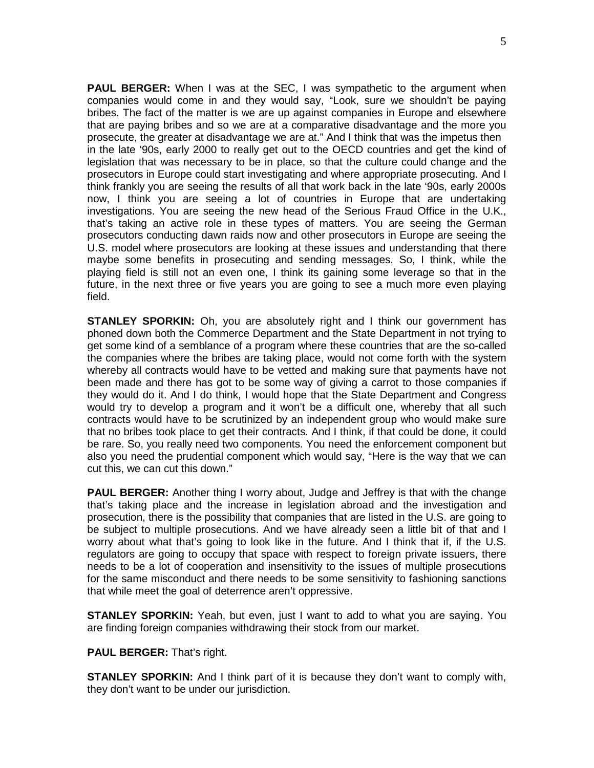**PAUL BERGER:** When I was at the SEC, I was sympathetic to the argument when companies would come in and they would say, "Look, sure we shouldn't be paying bribes. The fact of the matter is we are up against companies in Europe and elsewhere that are paying bribes and so we are at a comparative disadvantage and the more you prosecute, the greater at disadvantage we are at." And I think that was the impetus then in the late '90s, early 2000 to really get out to the OECD countries and get the kind of legislation that was necessary to be in place, so that the culture could change and the prosecutors in Europe could start investigating and where appropriate prosecuting. And I think frankly you are seeing the results of all that work back in the late '90s, early 2000s now, I think you are seeing a lot of countries in Europe that are undertaking investigations. You are seeing the new head of the Serious Fraud Office in the U.K., that's taking an active role in these types of matters. You are seeing the German prosecutors conducting dawn raids now and other prosecutors in Europe are seeing the U.S. model where prosecutors are looking at these issues and understanding that there maybe some benefits in prosecuting and sending messages. So, I think, while the playing field is still not an even one, I think its gaining some leverage so that in the future, in the next three or five years you are going to see a much more even playing field.

**STANLEY SPORKIN:** Oh, you are absolutely right and I think our government has phoned down both the Commerce Department and the State Department in not trying to get some kind of a semblance of a program where these countries that are the so-called the companies where the bribes are taking place, would not come forth with the system whereby all contracts would have to be vetted and making sure that payments have not been made and there has got to be some way of giving a carrot to those companies if they would do it. And I do think, I would hope that the State Department and Congress would try to develop a program and it won't be a difficult one, whereby that all such contracts would have to be scrutinized by an independent group who would make sure that no bribes took place to get their contracts. And I think, if that could be done, it could be rare. So, you really need two components. You need the enforcement component but also you need the prudential component which would say, "Here is the way that we can cut this, we can cut this down."

**PAUL BERGER:** Another thing I worry about, Judge and Jeffrey is that with the change that's taking place and the increase in legislation abroad and the investigation and prosecution, there is the possibility that companies that are listed in the U.S. are going to be subject to multiple prosecutions. And we have already seen a little bit of that and I worry about what that's going to look like in the future. And I think that if, if the U.S. regulators are going to occupy that space with respect to foreign private issuers, there needs to be a lot of cooperation and insensitivity to the issues of multiple prosecutions for the same misconduct and there needs to be some sensitivity to fashioning sanctions that while meet the goal of deterrence aren't oppressive.

**STANLEY SPORKIN:** Yeah, but even, just I want to add to what you are saying. You are finding foreign companies withdrawing their stock from our market.

**PAUL BERGER:** That's right.

**STANLEY SPORKIN:** And I think part of it is because they don't want to comply with, they don't want to be under our jurisdiction.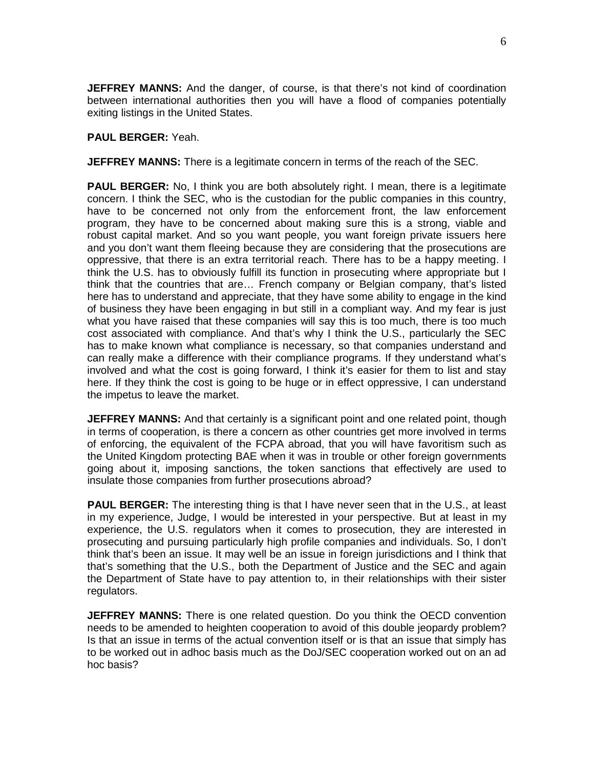**JEFFREY MANNS:** And the danger, of course, is that there's not kind of coordination between international authorities then you will have a flood of companies potentially exiting listings in the United States.

#### **PAUL BERGER:** Yeah.

**JEFFREY MANNS:** There is a legitimate concern in terms of the reach of the SEC.

**PAUL BERGER:** No, I think you are both absolutely right. I mean, there is a legitimate concern. I think the SEC, who is the custodian for the public companies in this country, have to be concerned not only from the enforcement front, the law enforcement program, they have to be concerned about making sure this is a strong, viable and robust capital market. And so you want people, you want foreign private issuers here and you don't want them fleeing because they are considering that the prosecutions are oppressive, that there is an extra territorial reach. There has to be a happy meeting. I think the U.S. has to obviously fulfill its function in prosecuting where appropriate but I think that the countries that are… French company or Belgian company, that's listed here has to understand and appreciate, that they have some ability to engage in the kind of business they have been engaging in but still in a compliant way. And my fear is just what you have raised that these companies will say this is too much, there is too much cost associated with compliance. And that's why I think the U.S., particularly the SEC has to make known what compliance is necessary, so that companies understand and can really make a difference with their compliance programs. If they understand what's involved and what the cost is going forward, I think it's easier for them to list and stay here. If they think the cost is going to be huge or in effect oppressive, I can understand the impetus to leave the market.

**JEFFREY MANNS:** And that certainly is a significant point and one related point, though in terms of cooperation, is there a concern as other countries get more involved in terms of enforcing, the equivalent of the FCPA abroad, that you will have favoritism such as the United Kingdom protecting BAE when it was in trouble or other foreign governments going about it, imposing sanctions, the token sanctions that effectively are used to insulate those companies from further prosecutions abroad?

**PAUL BERGER:** The interesting thing is that I have never seen that in the U.S., at least in my experience, Judge, I would be interested in your perspective. But at least in my experience, the U.S. regulators when it comes to prosecution, they are interested in prosecuting and pursuing particularly high profile companies and individuals. So, I don't think that's been an issue. It may well be an issue in foreign jurisdictions and I think that that's something that the U.S., both the Department of Justice and the SEC and again the Department of State have to pay attention to, in their relationships with their sister regulators.

**JEFFREY MANNS:** There is one related question. Do you think the OECD convention needs to be amended to heighten cooperation to avoid of this double jeopardy problem? Is that an issue in terms of the actual convention itself or is that an issue that simply has to be worked out in adhoc basis much as the DoJ/SEC cooperation worked out on an ad hoc basis?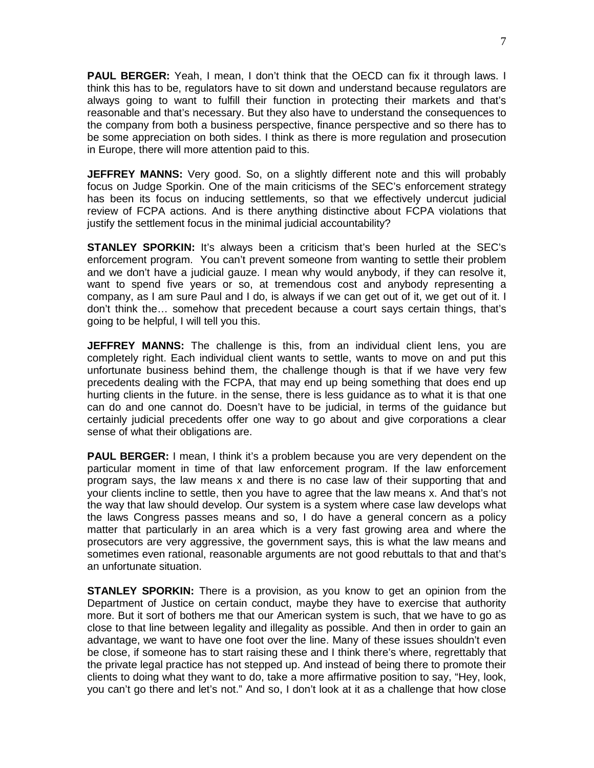**PAUL BERGER:** Yeah, I mean, I don't think that the OECD can fix it through laws. I think this has to be, regulators have to sit down and understand because regulators are always going to want to fulfill their function in protecting their markets and that's reasonable and that's necessary. But they also have to understand the consequences to the company from both a business perspective, finance perspective and so there has to be some appreciation on both sides. I think as there is more regulation and prosecution in Europe, there will more attention paid to this.

**JEFFREY MANNS:** Very good. So, on a slightly different note and this will probably focus on Judge Sporkin. One of the main criticisms of the SEC's enforcement strategy has been its focus on inducing settlements, so that we effectively undercut judicial review of FCPA actions. And is there anything distinctive about FCPA violations that justify the settlement focus in the minimal judicial accountability?

**STANLEY SPORKIN:** It's always been a criticism that's been hurled at the SEC's enforcement program. You can't prevent someone from wanting to settle their problem and we don't have a judicial gauze. I mean why would anybody, if they can resolve it, want to spend five years or so, at tremendous cost and anybody representing a company, as I am sure Paul and I do, is always if we can get out of it, we get out of it. I don't think the… somehow that precedent because a court says certain things, that's going to be helpful, I will tell you this.

**JEFFREY MANNS:** The challenge is this, from an individual client lens, you are completely right. Each individual client wants to settle, wants to move on and put this unfortunate business behind them, the challenge though is that if we have very few precedents dealing with the FCPA, that may end up being something that does end up hurting clients in the future. in the sense, there is less guidance as to what it is that one can do and one cannot do. Doesn't have to be judicial, in terms of the guidance but certainly judicial precedents offer one way to go about and give corporations a clear sense of what their obligations are.

**PAUL BERGER:** I mean, I think it's a problem because you are very dependent on the particular moment in time of that law enforcement program. If the law enforcement program says, the law means x and there is no case law of their supporting that and your clients incline to settle, then you have to agree that the law means x. And that's not the way that law should develop. Our system is a system where case law develops what the laws Congress passes means and so, I do have a general concern as a policy matter that particularly in an area which is a very fast growing area and where the prosecutors are very aggressive, the government says, this is what the law means and sometimes even rational, reasonable arguments are not good rebuttals to that and that's an unfortunate situation.

**STANLEY SPORKIN:** There is a provision, as you know to get an opinion from the Department of Justice on certain conduct, maybe they have to exercise that authority more. But it sort of bothers me that our American system is such, that we have to go as close to that line between legality and illegality as possible. And then in order to gain an advantage, we want to have one foot over the line. Many of these issues shouldn't even be close, if someone has to start raising these and I think there's where, regrettably that the private legal practice has not stepped up. And instead of being there to promote their clients to doing what they want to do, take a more affirmative position to say, "Hey, look, you can't go there and let's not." And so, I don't look at it as a challenge that how close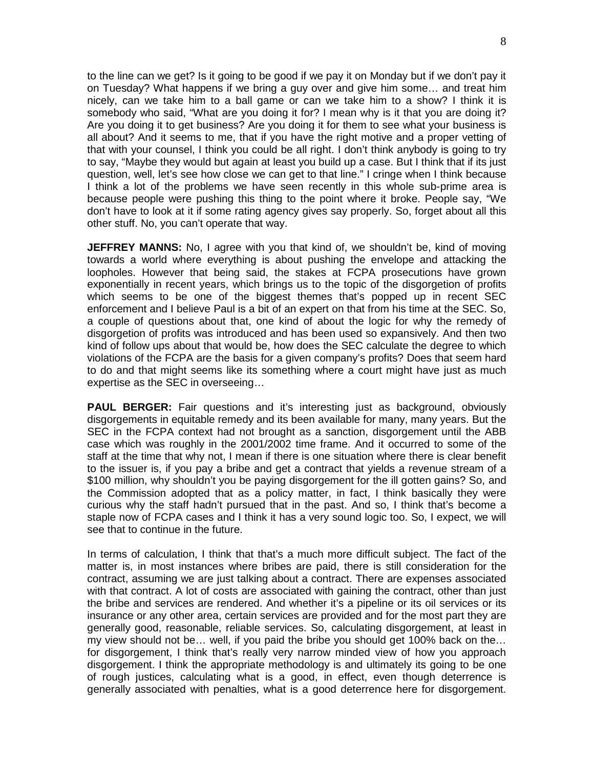to the line can we get? Is it going to be good if we pay it on Monday but if we don't pay it on Tuesday? What happens if we bring a guy over and give him some… and treat him nicely, can we take him to a ball game or can we take him to a show? I think it is somebody who said, "What are you doing it for? I mean why is it that you are doing it? Are you doing it to get business? Are you doing it for them to see what your business is all about? And it seems to me, that if you have the right motive and a proper vetting of that with your counsel, I think you could be all right. I don't think anybody is going to try to say, "Maybe they would but again at least you build up a case. But I think that if its just question, well, let's see how close we can get to that line." I cringe when I think because I think a lot of the problems we have seen recently in this whole sub-prime area is because people were pushing this thing to the point where it broke. People say, "We don't have to look at it if some rating agency gives say properly. So, forget about all this other stuff. No, you can't operate that way.

**JEFFREY MANNS:** No, I agree with you that kind of, we shouldn't be, kind of moving towards a world where everything is about pushing the envelope and attacking the loopholes. However that being said, the stakes at FCPA prosecutions have grown exponentially in recent years, which brings us to the topic of the disgorgetion of profits which seems to be one of the biggest themes that's popped up in recent SEC enforcement and I believe Paul is a bit of an expert on that from his time at the SEC. So, a couple of questions about that, one kind of about the logic for why the remedy of disgorgetion of profits was introduced and has been used so expansively. And then two kind of follow ups about that would be, how does the SEC calculate the degree to which violations of the FCPA are the basis for a given company's profits? Does that seem hard to do and that might seems like its something where a court might have just as much expertise as the SEC in overseeing…

**PAUL BERGER:** Fair questions and it's interesting just as background, obviously disgorgements in equitable remedy and its been available for many, many years. But the SEC in the FCPA context had not brought as a sanction, disgorgement until the ABB case which was roughly in the 2001/2002 time frame. And it occurred to some of the staff at the time that why not, I mean if there is one situation where there is clear benefit to the issuer is, if you pay a bribe and get a contract that yields a revenue stream of a \$100 million, why shouldn't you be paying disgorgement for the ill gotten gains? So, and the Commission adopted that as a policy matter, in fact, I think basically they were curious why the staff hadn't pursued that in the past. And so, I think that's become a staple now of FCPA cases and I think it has a very sound logic too. So, I expect, we will see that to continue in the future.

In terms of calculation, I think that that's a much more difficult subject. The fact of the matter is, in most instances where bribes are paid, there is still consideration for the contract, assuming we are just talking about a contract. There are expenses associated with that contract. A lot of costs are associated with gaining the contract, other than just the bribe and services are rendered. And whether it's a pipeline or its oil services or its insurance or any other area, certain services are provided and for the most part they are generally good, reasonable, reliable services. So, calculating disgorgement, at least in my view should not be… well, if you paid the bribe you should get 100% back on the… for disgorgement, I think that's really very narrow minded view of how you approach disgorgement. I think the appropriate methodology is and ultimately its going to be one of rough justices, calculating what is a good, in effect, even though deterrence is generally associated with penalties, what is a good deterrence here for disgorgement.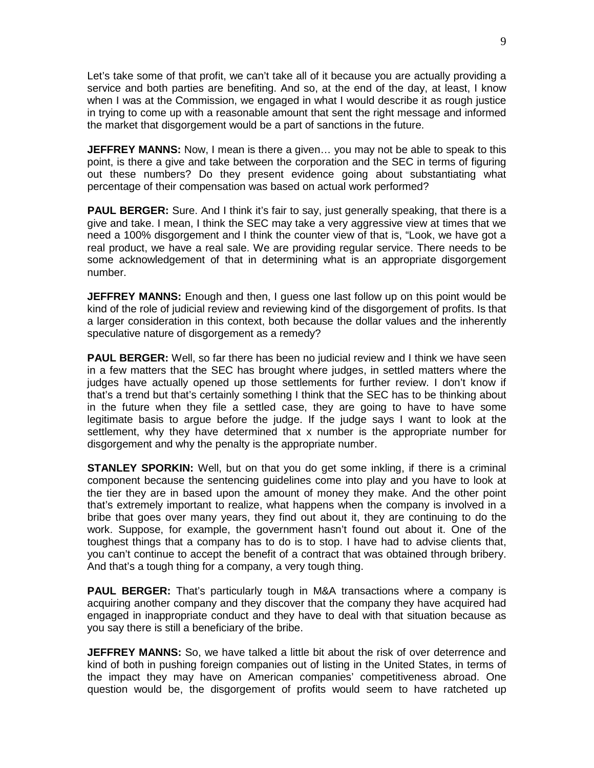Let's take some of that profit, we can't take all of it because you are actually providing a service and both parties are benefiting. And so, at the end of the day, at least, I know when I was at the Commission, we engaged in what I would describe it as rough justice in trying to come up with a reasonable amount that sent the right message and informed the market that disgorgement would be a part of sanctions in the future.

**JEFFREY MANNS:** Now, I mean is there a given... you may not be able to speak to this point, is there a give and take between the corporation and the SEC in terms of figuring out these numbers? Do they present evidence going about substantiating what percentage of their compensation was based on actual work performed?

**PAUL BERGER:** Sure. And I think it's fair to say, just generally speaking, that there is a give and take. I mean, I think the SEC may take a very aggressive view at times that we need a 100% disgorgement and I think the counter view of that is, "Look, we have got a real product, we have a real sale. We are providing regular service. There needs to be some acknowledgement of that in determining what is an appropriate disgorgement number.

**JEFFREY MANNS:** Enough and then, I guess one last follow up on this point would be kind of the role of judicial review and reviewing kind of the disgorgement of profits. Is that a larger consideration in this context, both because the dollar values and the inherently speculative nature of disgorgement as a remedy?

**PAUL BERGER:** Well, so far there has been no judicial review and I think we have seen in a few matters that the SEC has brought where judges, in settled matters where the judges have actually opened up those settlements for further review. I don't know if that's a trend but that's certainly something I think that the SEC has to be thinking about in the future when they file a settled case, they are going to have to have some legitimate basis to argue before the judge. If the judge says I want to look at the settlement, why they have determined that x number is the appropriate number for disgorgement and why the penalty is the appropriate number.

**STANLEY SPORKIN:** Well, but on that you do get some inkling, if there is a criminal component because the sentencing guidelines come into play and you have to look at the tier they are in based upon the amount of money they make. And the other point that's extremely important to realize, what happens when the company is involved in a bribe that goes over many years, they find out about it, they are continuing to do the work. Suppose, for example, the government hasn't found out about it. One of the toughest things that a company has to do is to stop. I have had to advise clients that, you can't continue to accept the benefit of a contract that was obtained through bribery. And that's a tough thing for a company, a very tough thing.

**PAUL BERGER:** That's particularly tough in M&A transactions where a company is acquiring another company and they discover that the company they have acquired had engaged in inappropriate conduct and they have to deal with that situation because as you say there is still a beneficiary of the bribe.

**JEFFREY MANNS:** So, we have talked a little bit about the risk of over deterrence and kind of both in pushing foreign companies out of listing in the United States, in terms of the impact they may have on American companies' competitiveness abroad. One question would be, the disgorgement of profits would seem to have ratcheted up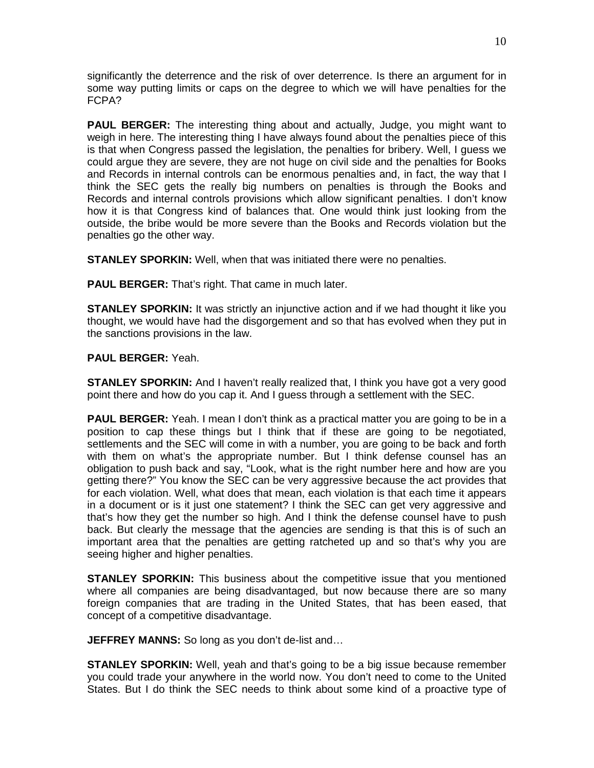significantly the deterrence and the risk of over deterrence. Is there an argument for in some way putting limits or caps on the degree to which we will have penalties for the FCPA?

**PAUL BERGER:** The interesting thing about and actually, Judge, you might want to weigh in here. The interesting thing I have always found about the penalties piece of this is that when Congress passed the legislation, the penalties for bribery. Well, I guess we could argue they are severe, they are not huge on civil side and the penalties for Books and Records in internal controls can be enormous penalties and, in fact, the way that I think the SEC gets the really big numbers on penalties is through the Books and Records and internal controls provisions which allow significant penalties. I don't know how it is that Congress kind of balances that. One would think just looking from the outside, the bribe would be more severe than the Books and Records violation but the penalties go the other way.

**STANLEY SPORKIN:** Well, when that was initiated there were no penalties.

**PAUL BERGER:** That's right. That came in much later.

**STANLEY SPORKIN:** It was strictly an injunctive action and if we had thought it like you thought, we would have had the disgorgement and so that has evolved when they put in the sanctions provisions in the law.

**PAUL BERGER:** Yeah.

**STANLEY SPORKIN:** And I haven't really realized that, I think you have got a very good point there and how do you cap it. And I guess through a settlement with the SEC.

**PAUL BERGER:** Yeah. I mean I don't think as a practical matter you are going to be in a position to cap these things but I think that if these are going to be negotiated, settlements and the SEC will come in with a number, you are going to be back and forth with them on what's the appropriate number. But I think defense counsel has an obligation to push back and say, "Look, what is the right number here and how are you getting there?" You know the SEC can be very aggressive because the act provides that for each violation. Well, what does that mean, each violation is that each time it appears in a document or is it just one statement? I think the SEC can get very aggressive and that's how they get the number so high. And I think the defense counsel have to push back. But clearly the message that the agencies are sending is that this is of such an important area that the penalties are getting ratcheted up and so that's why you are seeing higher and higher penalties.

**STANLEY SPORKIN:** This business about the competitive issue that you mentioned where all companies are being disadvantaged, but now because there are so many foreign companies that are trading in the United States, that has been eased, that concept of a competitive disadvantage.

**JEFFREY MANNS:** So long as you don't de-list and…

**STANLEY SPORKIN:** Well, yeah and that's going to be a big issue because remember you could trade your anywhere in the world now. You don't need to come to the United States. But I do think the SEC needs to think about some kind of a proactive type of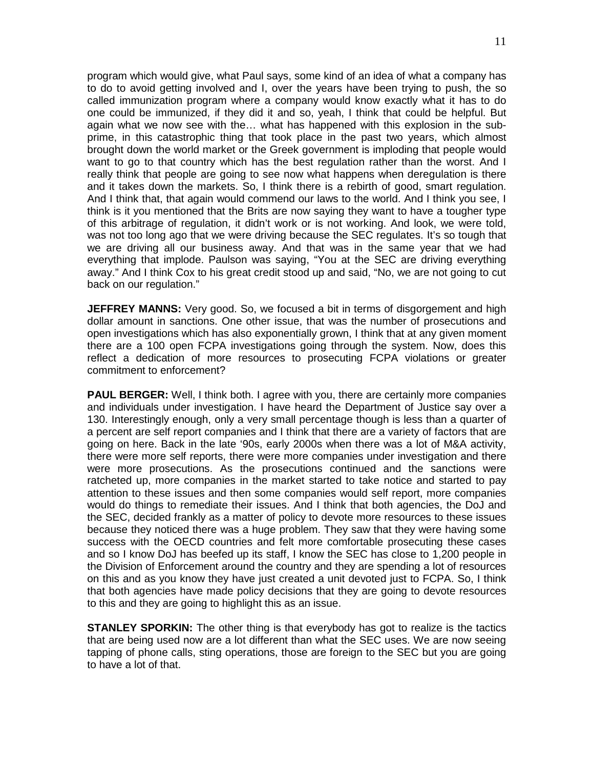program which would give, what Paul says, some kind of an idea of what a company has to do to avoid getting involved and I, over the years have been trying to push, the so called immunization program where a company would know exactly what it has to do one could be immunized, if they did it and so, yeah, I think that could be helpful. But again what we now see with the… what has happened with this explosion in the subprime, in this catastrophic thing that took place in the past two years, which almost brought down the world market or the Greek government is imploding that people would want to go to that country which has the best regulation rather than the worst. And I really think that people are going to see now what happens when deregulation is there and it takes down the markets. So, I think there is a rebirth of good, smart regulation. And I think that, that again would commend our laws to the world. And I think you see, I think is it you mentioned that the Brits are now saying they want to have a tougher type of this arbitrage of regulation, it didn't work or is not working. And look, we were told, was not too long ago that we were driving because the SEC regulates. It's so tough that we are driving all our business away. And that was in the same year that we had everything that implode. Paulson was saying, "You at the SEC are driving everything away." And I think Cox to his great credit stood up and said, "No, we are not going to cut back on our regulation."

**JEFFREY MANNS:** Very good. So, we focused a bit in terms of disgorgement and high dollar amount in sanctions. One other issue, that was the number of prosecutions and open investigations which has also exponentially grown, I think that at any given moment there are a 100 open FCPA investigations going through the system. Now, does this reflect a dedication of more resources to prosecuting FCPA violations or greater commitment to enforcement?

**PAUL BERGER:** Well, I think both. I agree with you, there are certainly more companies and individuals under investigation. I have heard the Department of Justice say over a 130. Interestingly enough, only a very small percentage though is less than a quarter of a percent are self report companies and I think that there are a variety of factors that are going on here. Back in the late '90s, early 2000s when there was a lot of M&A activity, there were more self reports, there were more companies under investigation and there were more prosecutions. As the prosecutions continued and the sanctions were ratcheted up, more companies in the market started to take notice and started to pay attention to these issues and then some companies would self report, more companies would do things to remediate their issues. And I think that both agencies, the DoJ and the SEC, decided frankly as a matter of policy to devote more resources to these issues because they noticed there was a huge problem. They saw that they were having some success with the OECD countries and felt more comfortable prosecuting these cases and so I know DoJ has beefed up its staff, I know the SEC has close to 1,200 people in the Division of Enforcement around the country and they are spending a lot of resources on this and as you know they have just created a unit devoted just to FCPA. So, I think that both agencies have made policy decisions that they are going to devote resources to this and they are going to highlight this as an issue.

**STANLEY SPORKIN:** The other thing is that everybody has got to realize is the tactics that are being used now are a lot different than what the SEC uses. We are now seeing tapping of phone calls, sting operations, those are foreign to the SEC but you are going to have a lot of that.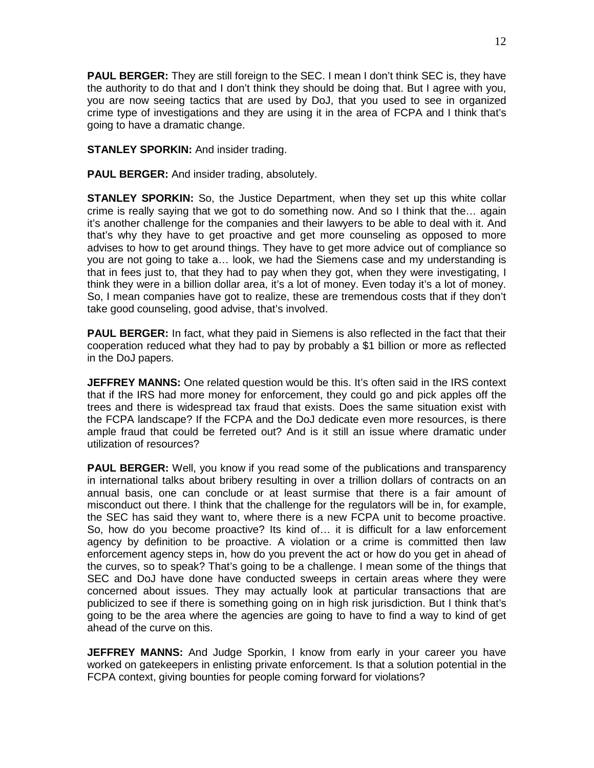**PAUL BERGER:** They are still foreign to the SEC. I mean I don't think SEC is, they have the authority to do that and I don't think they should be doing that. But I agree with you, you are now seeing tactics that are used by DoJ, that you used to see in organized crime type of investigations and they are using it in the area of FCPA and I think that's going to have a dramatic change.

**STANLEY SPORKIN:** And insider trading.

**PAUL BERGER:** And insider trading, absolutely.

**STANLEY SPORKIN:** So, the Justice Department, when they set up this white collar crime is really saying that we got to do something now. And so I think that the… again it's another challenge for the companies and their lawyers to be able to deal with it. And that's why they have to get proactive and get more counseling as opposed to more advises to how to get around things. They have to get more advice out of compliance so you are not going to take a… look, we had the Siemens case and my understanding is that in fees just to, that they had to pay when they got, when they were investigating, I think they were in a billion dollar area, it's a lot of money. Even today it's a lot of money. So, I mean companies have got to realize, these are tremendous costs that if they don't take good counseling, good advise, that's involved.

**PAUL BERGER:** In fact, what they paid in Siemens is also reflected in the fact that their cooperation reduced what they had to pay by probably a \$1 billion or more as reflected in the DoJ papers.

**JEFFREY MANNS:** One related question would be this. It's often said in the IRS context that if the IRS had more money for enforcement, they could go and pick apples off the trees and there is widespread tax fraud that exists. Does the same situation exist with the FCPA landscape? If the FCPA and the DoJ dedicate even more resources, is there ample fraud that could be ferreted out? And is it still an issue where dramatic under utilization of resources?

**PAUL BERGER:** Well, you know if you read some of the publications and transparency in international talks about bribery resulting in over a trillion dollars of contracts on an annual basis, one can conclude or at least surmise that there is a fair amount of misconduct out there. I think that the challenge for the regulators will be in, for example, the SEC has said they want to, where there is a new FCPA unit to become proactive. So, how do you become proactive? Its kind of… it is difficult for a law enforcement agency by definition to be proactive. A violation or a crime is committed then law enforcement agency steps in, how do you prevent the act or how do you get in ahead of the curves, so to speak? That's going to be a challenge. I mean some of the things that SEC and DoJ have done have conducted sweeps in certain areas where they were concerned about issues. They may actually look at particular transactions that are publicized to see if there is something going on in high risk jurisdiction. But I think that's going to be the area where the agencies are going to have to find a way to kind of get ahead of the curve on this.

**JEFFREY MANNS:** And Judge Sporkin, I know from early in your career you have worked on gatekeepers in enlisting private enforcement. Is that a solution potential in the FCPA context, giving bounties for people coming forward for violations?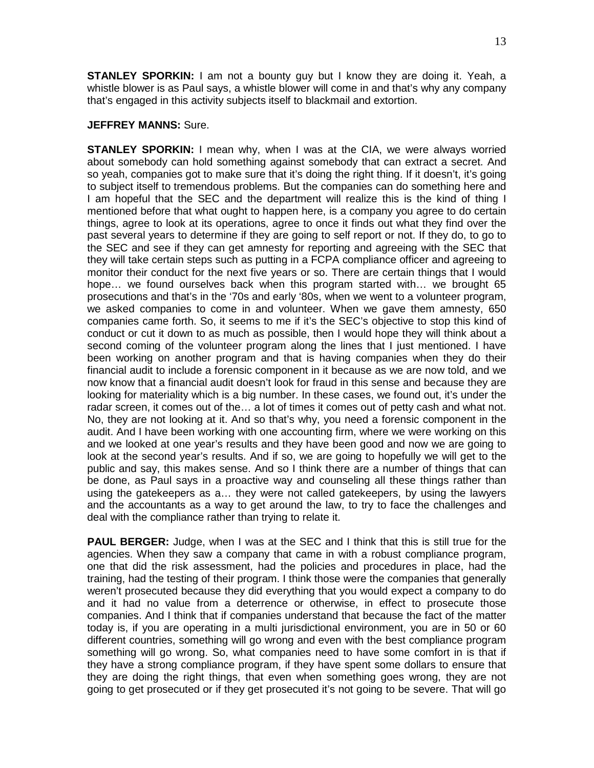**STANLEY SPORKIN:** I am not a bounty guy but I know they are doing it. Yeah, a whistle blower is as Paul says, a whistle blower will come in and that's why any company that's engaged in this activity subjects itself to blackmail and extortion.

## **JEFFREY MANNS:** Sure.

**STANLEY SPORKIN:** I mean why, when I was at the CIA, we were always worried about somebody can hold something against somebody that can extract a secret. And so yeah, companies got to make sure that it's doing the right thing. If it doesn't, it's going to subject itself to tremendous problems. But the companies can do something here and I am hopeful that the SEC and the department will realize this is the kind of thing I mentioned before that what ought to happen here, is a company you agree to do certain things, agree to look at its operations, agree to once it finds out what they find over the past several years to determine if they are going to self report or not. If they do, to go to the SEC and see if they can get amnesty for reporting and agreeing with the SEC that they will take certain steps such as putting in a FCPA compliance officer and agreeing to monitor their conduct for the next five years or so. There are certain things that I would hope… we found ourselves back when this program started with… we brought 65 prosecutions and that's in the '70s and early '80s, when we went to a volunteer program, we asked companies to come in and volunteer. When we gave them amnesty, 650 companies came forth. So, it seems to me if it's the SEC's objective to stop this kind of conduct or cut it down to as much as possible, then I would hope they will think about a second coming of the volunteer program along the lines that I just mentioned. I have been working on another program and that is having companies when they do their financial audit to include a forensic component in it because as we are now told, and we now know that a financial audit doesn't look for fraud in this sense and because they are looking for materiality which is a big number. In these cases, we found out, it's under the radar screen, it comes out of the… a lot of times it comes out of petty cash and what not. No, they are not looking at it. And so that's why, you need a forensic component in the audit. And I have been working with one accounting firm, where we were working on this and we looked at one year's results and they have been good and now we are going to look at the second year's results. And if so, we are going to hopefully we will get to the public and say, this makes sense. And so I think there are a number of things that can be done, as Paul says in a proactive way and counseling all these things rather than using the gatekeepers as a… they were not called gatekeepers, by using the lawyers and the accountants as a way to get around the law, to try to face the challenges and deal with the compliance rather than trying to relate it.

**PAUL BERGER:** Judge, when I was at the SEC and I think that this is still true for the agencies. When they saw a company that came in with a robust compliance program, one that did the risk assessment, had the policies and procedures in place, had the training, had the testing of their program. I think those were the companies that generally weren't prosecuted because they did everything that you would expect a company to do and it had no value from a deterrence or otherwise, in effect to prosecute those companies. And I think that if companies understand that because the fact of the matter today is, if you are operating in a multi jurisdictional environment, you are in 50 or 60 different countries, something will go wrong and even with the best compliance program something will go wrong. So, what companies need to have some comfort in is that if they have a strong compliance program, if they have spent some dollars to ensure that they are doing the right things, that even when something goes wrong, they are not going to get prosecuted or if they get prosecuted it's not going to be severe. That will go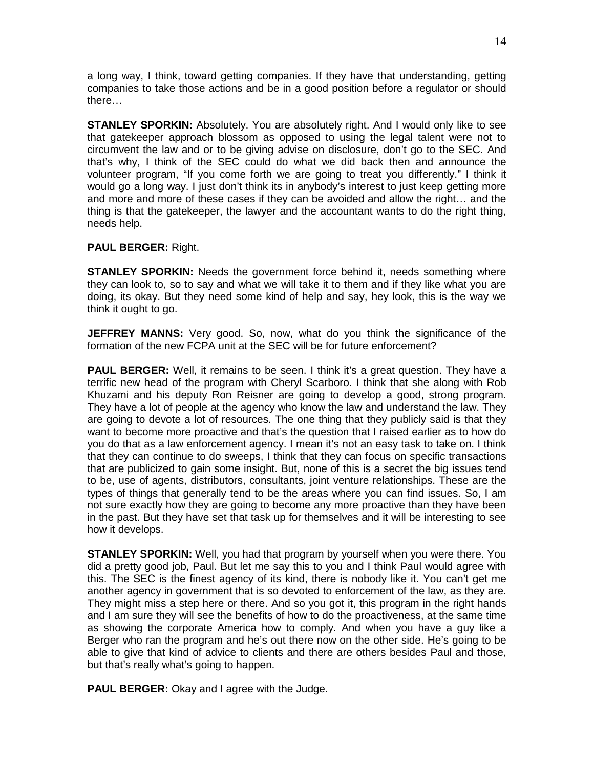a long way, I think, toward getting companies. If they have that understanding, getting companies to take those actions and be in a good position before a regulator or should there…

**STANLEY SPORKIN:** Absolutely. You are absolutely right. And I would only like to see that gatekeeper approach blossom as opposed to using the legal talent were not to circumvent the law and or to be giving advise on disclosure, don't go to the SEC. And that's why, I think of the SEC could do what we did back then and announce the volunteer program, "If you come forth we are going to treat you differently." I think it would go a long way. I just don't think its in anybody's interest to just keep getting more and more and more of these cases if they can be avoided and allow the right… and the thing is that the gatekeeper, the lawyer and the accountant wants to do the right thing, needs help.

## **PAUL BERGER:** Right.

**STANLEY SPORKIN:** Needs the government force behind it, needs something where they can look to, so to say and what we will take it to them and if they like what you are doing, its okay. But they need some kind of help and say, hey look, this is the way we think it ought to go.

**JEFFREY MANNS:** Very good. So, now, what do you think the significance of the formation of the new FCPA unit at the SEC will be for future enforcement?

**PAUL BERGER:** Well, it remains to be seen. I think it's a great question. They have a terrific new head of the program with Cheryl Scarboro. I think that she along with Rob Khuzami and his deputy Ron Reisner are going to develop a good, strong program. They have a lot of people at the agency who know the law and understand the law. They are going to devote a lot of resources. The one thing that they publicly said is that they want to become more proactive and that's the question that I raised earlier as to how do you do that as a law enforcement agency. I mean it's not an easy task to take on. I think that they can continue to do sweeps, I think that they can focus on specific transactions that are publicized to gain some insight. But, none of this is a secret the big issues tend to be, use of agents, distributors, consultants, joint venture relationships. These are the types of things that generally tend to be the areas where you can find issues. So, I am not sure exactly how they are going to become any more proactive than they have been in the past. But they have set that task up for themselves and it will be interesting to see how it develops.

**STANLEY SPORKIN:** Well, you had that program by yourself when you were there. You did a pretty good job, Paul. But let me say this to you and I think Paul would agree with this. The SEC is the finest agency of its kind, there is nobody like it. You can't get me another agency in government that is so devoted to enforcement of the law, as they are. They might miss a step here or there. And so you got it, this program in the right hands and I am sure they will see the benefits of how to do the proactiveness, at the same time as showing the corporate America how to comply. And when you have a guy like a Berger who ran the program and he's out there now on the other side. He's going to be able to give that kind of advice to clients and there are others besides Paul and those, but that's really what's going to happen.

**PAUL BERGER:** Okay and I agree with the Judge.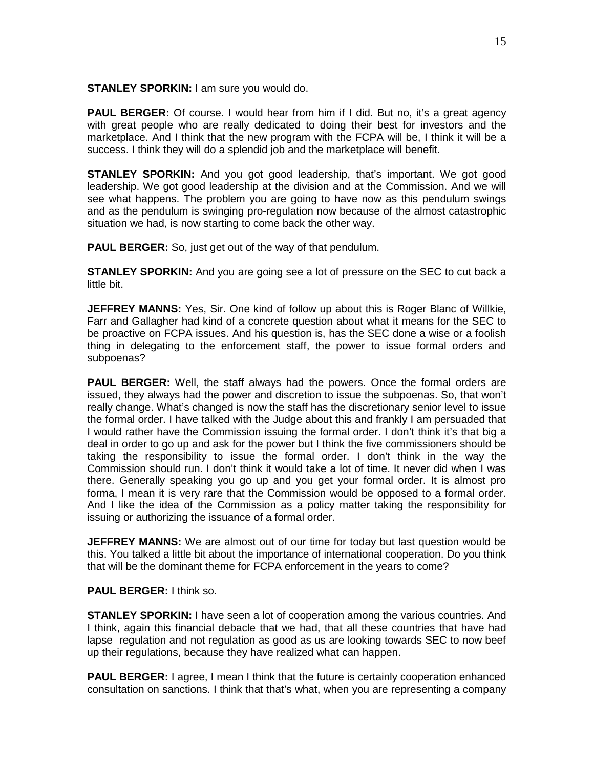**STANLEY SPORKIN:** I am sure you would do.

**PAUL BERGER:** Of course. I would hear from him if I did. But no, it's a great agency with great people who are really dedicated to doing their best for investors and the marketplace. And I think that the new program with the FCPA will be, I think it will be a success. I think they will do a splendid job and the marketplace will benefit.

**STANLEY SPORKIN:** And you got good leadership, that's important. We got good leadership. We got good leadership at the division and at the Commission. And we will see what happens. The problem you are going to have now as this pendulum swings and as the pendulum is swinging pro-regulation now because of the almost catastrophic situation we had, is now starting to come back the other way.

**PAUL BERGER:** So, just get out of the way of that pendulum.

**STANLEY SPORKIN:** And you are going see a lot of pressure on the SEC to cut back a little bit.

**JEFFREY MANNS:** Yes, Sir. One kind of follow up about this is Roger Blanc of Willkie, Farr and Gallagher had kind of a concrete question about what it means for the SEC to be proactive on FCPA issues. And his question is, has the SEC done a wise or a foolish thing in delegating to the enforcement staff, the power to issue formal orders and subpoenas?

**PAUL BERGER:** Well, the staff always had the powers. Once the formal orders are issued, they always had the power and discretion to issue the subpoenas. So, that won't really change. What's changed is now the staff has the discretionary senior level to issue the formal order. I have talked with the Judge about this and frankly I am persuaded that I would rather have the Commission issuing the formal order. I don't think it's that big a deal in order to go up and ask for the power but I think the five commissioners should be taking the responsibility to issue the formal order. I don't think in the way the Commission should run. I don't think it would take a lot of time. It never did when I was there. Generally speaking you go up and you get your formal order. It is almost pro forma, I mean it is very rare that the Commission would be opposed to a formal order. And I like the idea of the Commission as a policy matter taking the responsibility for issuing or authorizing the issuance of a formal order.

**JEFFREY MANNS:** We are almost out of our time for today but last question would be this. You talked a little bit about the importance of international cooperation. Do you think that will be the dominant theme for FCPA enforcement in the years to come?

## **PAUL BERGER:** I think so.

**STANLEY SPORKIN:** I have seen a lot of cooperation among the various countries. And I think, again this financial debacle that we had, that all these countries that have had lapse regulation and not regulation as good as us are looking towards SEC to now beef up their regulations, because they have realized what can happen.

**PAUL BERGER:** I agree, I mean I think that the future is certainly cooperation enhanced consultation on sanctions. I think that that's what, when you are representing a company